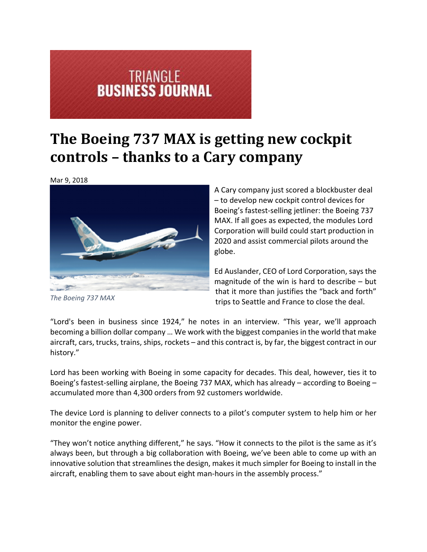## **TRIANGLE<br>BUSINESS JOURNAL**

## **The Boeing 737 MAX is getting new cockpit controls – thanks to a Cary company**

Mar 9, 2018



*The Boeing 737 MAX*

A Cary company just scored a blockbuster deal – to develop new cockpit control devices for Boeing's fastest‐selling jetliner: the Boeing 737 MAX. If all goes as expected, the modules Lord Corporation will build could start production in 2020 and assist commercial pilots around the globe.

Ed Auslander, CEO of Lord Corporation, says the magnitude of the win is hard to describe – but that it more than justifies the "back and forth" trips to Seattle and France to close the deal.

"Lord's been in business since 1924," he notes in an interview. "This year, we'll approach becoming a billion dollar company ... We work with the biggest companies in the world that make aircraft, cars, trucks, trains, ships, rockets – and this contract is, by far, the biggest contract in our history."

Lord has been working with Boeing in some capacity for decades. This deal, however, ties it to Boeing's fastest‐selling airplane, the Boeing 737 MAX, which has already – according to Boeing – accumulated more than 4,300 orders from 92 customers worldwide.

The device Lord is planning to deliver connects to a pilot's computer system to help him or her monitor the engine power.

"They won't notice anything different," he says. "How it connects to the pilot is the same as it's always been, but through a big collaboration with Boeing, we've been able to come up with an innovative solution that streamlines the design, makes it much simpler for Boeing to install in the aircraft, enabling them to save about eight man-hours in the assembly process."